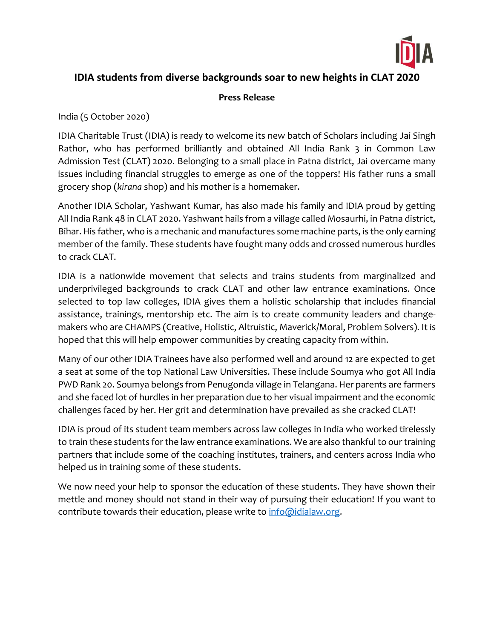

## **IDIA students from diverse backgrounds soar to new heights in CLAT 2020**

## **Press Release**

India (5 October 2020)

IDIA Charitable Trust (IDIA) is ready to welcome its new batch of Scholars including Jai Singh Rathor, who has performed brilliantly and obtained All India Rank 3 in Common Law Admission Test (CLAT) 2020. Belonging to a small place in Patna district, Jai overcame many issues including financial struggles to emerge as one of the toppers! His father runs a small grocery shop (*kirana* shop) and his mother is a homemaker.

Another IDIA Scholar, Yashwant Kumar, has also made his family and IDIA proud by getting All India Rank 48 in CLAT 2020. Yashwant hails from a village called Mosaurhi, in Patna district, Bihar. His father, who is a mechanic and manufactures some machine parts, is the only earning member of the family. These students have fought many odds and crossed numerous hurdles to crack CLAT.

IDIA is a nationwide movement that selects and trains students from marginalized and underprivileged backgrounds to crack CLAT and other law entrance examinations. Once selected to top law colleges, IDIA gives them a holistic scholarship that includes financial assistance, trainings, mentorship etc. The aim is to create community leaders and changemakers who are CHAMPS (Creative, Holistic, Altruistic, Maverick/Moral, Problem Solvers). It is hoped that this will help empower communities by creating capacity from within.

Many of our other IDIA Trainees have also performed well and around 12 are expected to get a seat at some of the top National Law Universities. These include Soumya who got All India PWD Rank 20. Soumya belongs from Penugonda village in Telangana. Her parents are farmers and she faced lot of hurdles in her preparation due to her visual impairment and the economic challenges faced by her. Her grit and determination have prevailed as she cracked CLAT!

IDIA is proud of its student team members across law colleges in India who worked tirelessly to train these students for the law entrance examinations. We are also thankful to our training partners that include some of the coaching institutes, trainers, and centers across India who helped us in training some of these students.

We now need your help to sponsor the education of these students. They have shown their mettle and money should not stand in their way of pursuing their education! If you want to contribute towards their education, please write to [info@idialaw.org.](mailto:info@idialaw.org)